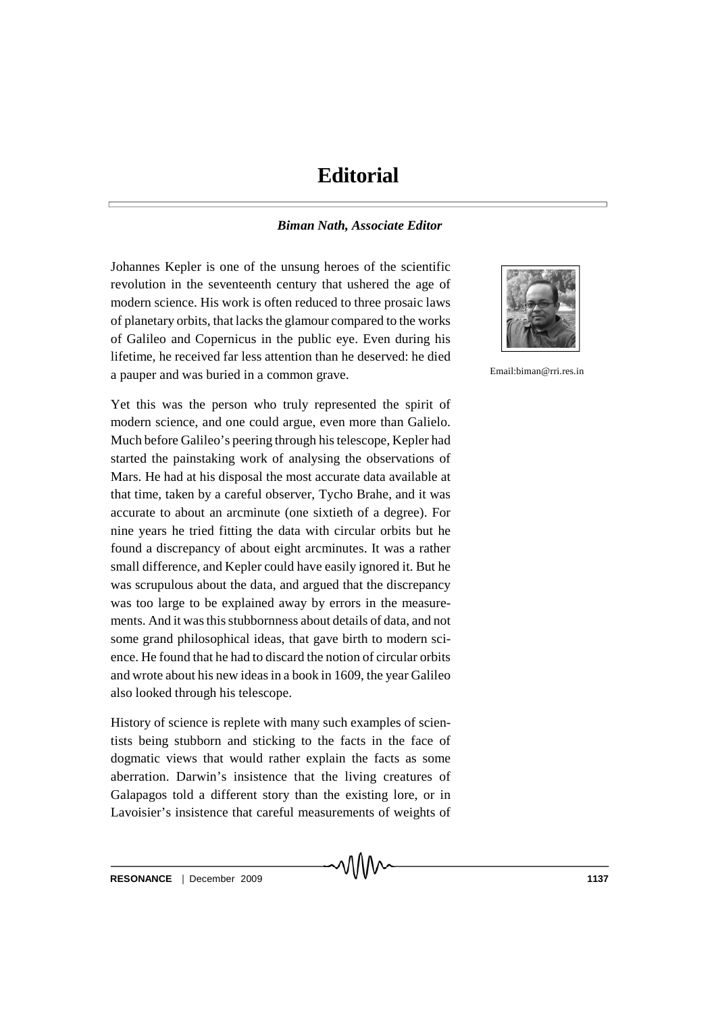## **Editorial**

## *Biman Nath, Associate Editor*

Johannes Kepler is one of the unsung heroes of the scientific revolution in the seventeenth century that ushered the age of modern science. His work is often reduced to three prosaic laws of planetary orbits, that lacks the glamour compared to the works of Galileo and Copernicus in the public eye. Even during his lifetime, he received far less attention than he deserved: he died a pauper and was buried in a common grave.

Yet this was the person who truly represented the spirit of modern science, and one could argue, even more than Galielo. Much before Galileo's peering through his telescope, Kepler had started the painstaking work of analysing the observations of Mars. He had at his disposal the most accurate data available at that time, taken by a careful observer, Tycho Brahe, and it was accurate to about an arcminute (one sixtieth of a degree). For nine years he tried fitting the data with circular orbits but he found a discrepancy of about eight arcminutes. It was a rather small difference, and Kepler could have easily ignored it. But he was scrupulous about the data, and argued that the discrepancy was too large to be explained away by errors in the measurements. And it was this stubbornness about details of data, and not some grand philosophical ideas, that gave birth to modern science. He found that he had to discard the notion of circular orbits and wrote about his new ideas in a book in 1609, the year Galileo also looked through his telescope.

History of science is replete with many such examples of scientists being stubborn and sticking to the facts in the face of dogmatic views that would rather explain the facts as some aberration. Darwin's insistence that the living creatures of Galapagos told a different story than the existing lore, or in Lavoisier's insistence that careful measurements of weights of



Email:biman@rri.res.in